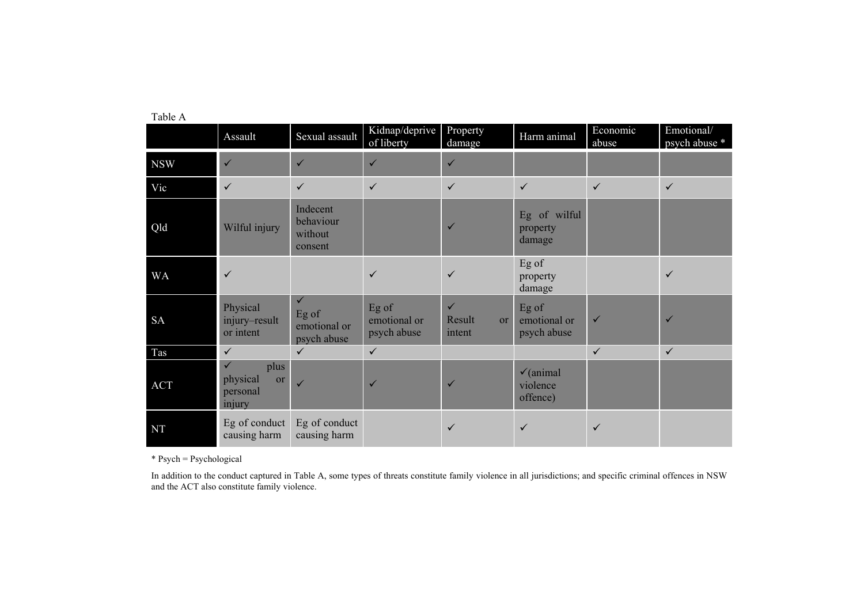|            | Assault                                                      | Sexual assault                                       | Kidnap/deprive<br>of liberty         | Property<br>damage                     | Harm animal                                  | Economic<br>abuse | Emotional/<br>psych abuse * |
|------------|--------------------------------------------------------------|------------------------------------------------------|--------------------------------------|----------------------------------------|----------------------------------------------|-------------------|-----------------------------|
| <b>NSW</b> | $\checkmark$                                                 | $\checkmark$                                         | $\checkmark$                         | $\checkmark$                           |                                              |                   |                             |
| Vic        | $\checkmark$                                                 | $\checkmark$                                         | $\checkmark$                         | $\checkmark$                           | $\checkmark$                                 | $\checkmark$      | $\checkmark$                |
| Qld        | Wilful injury                                                | Indecent<br>behaviour<br>without<br>consent          |                                      | $\checkmark$                           | Eg of wilful<br>property<br>damage           |                   |                             |
| <b>WA</b>  | $\checkmark$                                                 |                                                      | $\checkmark$                         | $\checkmark$                           | Eg of<br>property<br>damage                  |                   | $\checkmark$                |
| <b>SA</b>  | Physical<br>injury-result<br>or intent                       | $\checkmark$<br>Eg of<br>emotional or<br>psych abuse | Eg of<br>emotional or<br>psych abuse | $\checkmark$<br>Result<br>or<br>intent | Eg of<br>emotional or<br>psych abuse         | $\checkmark$      | $\checkmark$                |
| Tas        | $\checkmark$                                                 | $\checkmark$                                         | $\checkmark$                         |                                        |                                              | $\checkmark$      | $\checkmark$                |
| <b>ACT</b> | $\checkmark$<br>plus<br>physical<br>or<br>personal<br>injury | $\checkmark$                                         | $\checkmark$                         | $\checkmark$                           | $\checkmark$ (animal<br>violence<br>offence) |                   |                             |
| <b>NT</b>  | Eg of conduct<br>causing harm                                | Eg of conduct<br>causing harm                        |                                      | $\checkmark$                           | $\checkmark$                                 | $\checkmark$      |                             |

Table A

\* Psych = Psychological

In addition to the conduct captured in Table A, some types of threats constitute family violence in all jurisdictions; and specific criminal offences in NSW and the ACT also constitute family violence.